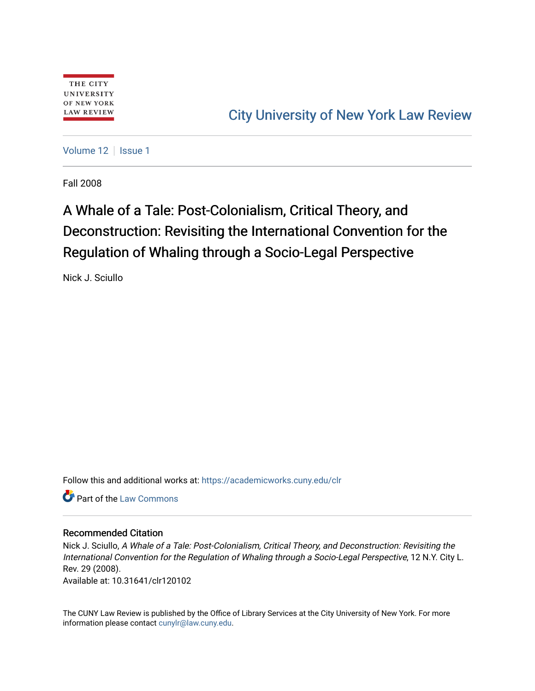[Volume 12](https://academicworks.cuny.edu/clr/vol12) | [Issue 1](https://academicworks.cuny.edu/clr/vol12/iss1)

Fall 2008

# A Whale of a Tale: Post-Colonialism, Critical Theory, and Deconstruction: Revisiting the International Convention for the Regulation of Whaling through a Socio-Legal Perspective

Nick J. Sciullo

Follow this and additional works at: [https://academicworks.cuny.edu/clr](https://academicworks.cuny.edu/clr?utm_source=academicworks.cuny.edu%2Fclr%2Fvol12%2Fiss1%2F3&utm_medium=PDF&utm_campaign=PDFCoverPages) 

**Part of the [Law Commons](http://network.bepress.com/hgg/discipline/578?utm_source=academicworks.cuny.edu%2Fclr%2Fvol12%2Fiss1%2F3&utm_medium=PDF&utm_campaign=PDFCoverPages)** 

# Recommended Citation

Nick J. Sciullo, A Whale of a Tale: Post-Colonialism, Critical Theory, and Deconstruction: Revisiting the International Convention for the Regulation of Whaling through a Socio-Legal Perspective, 12 N.Y. City L. Rev. 29 (2008).

Available at: 10.31641/clr120102

The CUNY Law Review is published by the Office of Library Services at the City University of New York. For more information please contact [cunylr@law.cuny.edu](mailto:cunylr@law.cuny.edu).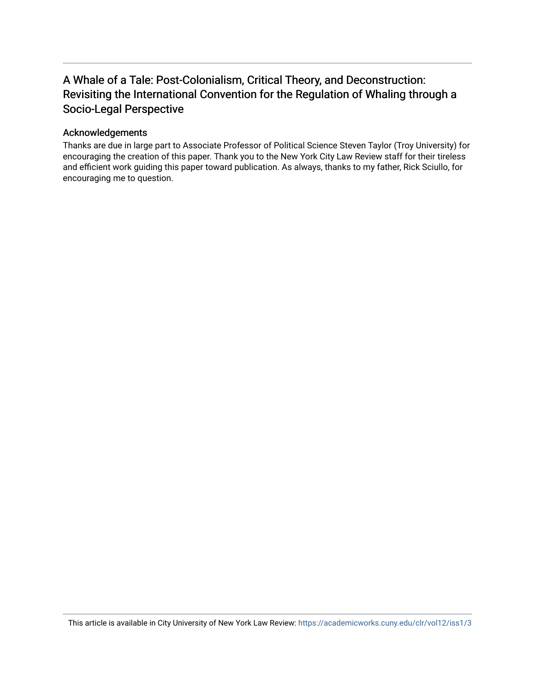# A Whale of a Tale: Post-Colonialism, Critical Theory, and Deconstruction: Revisiting the International Convention for the Regulation of Whaling through a Socio-Legal Perspective

# Acknowledgements

Thanks are due in large part to Associate Professor of Political Science Steven Taylor (Troy University) for encouraging the creation of this paper. Thank you to the New York City Law Review staff for their tireless and efficient work guiding this paper toward publication. As always, thanks to my father, Rick Sciullo, for encouraging me to question.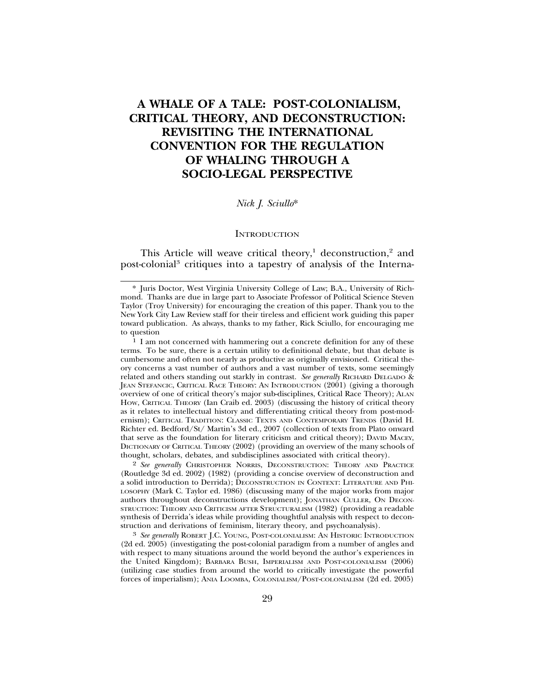# **A WHALE OF A TALE: POST-COLONIALISM, CRITICAL THEORY, AND DECONSTRUCTION: REVISITING THE INTERNATIONAL CONVENTION FOR THE REGULATION OF WHALING THROUGH A SOCIO-LEGAL PERSPECTIVE**

### *Nick J. Sciullo*\*

#### **INTRODUCTION**

This Article will weave critical theory,<sup>1</sup> deconstruction,<sup>2</sup> and post-colonial<sup>3</sup> critiques into a tapestry of analysis of the Interna-

2 *See generally* CHRISTOPHER NORRIS, DECONSTRUCTION: THEORY AND PRACTICE (Routledge 3d ed. 2002) (1982) (providing a concise overview of deconstruction and a solid introduction to Derrida); DECONSTRUCTION IN CONTEXT: LITERATURE AND PHI-LOSOPHY (Mark C. Taylor ed. 1986) (discussing many of the major works from major authors throughout deconstructions development); JONATHAN CULLER, ON DECON-STRUCTION: THEORY AND CRITICISM AFTER STRUCTURALISM (1982) (providing a readable synthesis of Derrida's ideas while providing thoughtful analysis with respect to deconstruction and derivations of feminism, literary theory, and psychoanalysis).

3 *See generally* ROBERT J.C. YOUNG, POST-COLONIALISM: AN HISTORIC INTRODUCTION (2d ed. 2005) (investigating the post-colonial paradigm from a number of angles and with respect to many situations around the world beyond the author's experiences in the United Kingdom); BARBARA BUSH, IMPERIALISM AND POST-COLONIALISM (2006) (utilizing case studies from around the world to critically investigate the powerful forces of imperialism); ANIA LOOMBA, COLONIALISM/POST-COLONIALISM (2d ed. 2005)

<sup>\*</sup> Juris Doctor, West Virginia University College of Law; B.A., University of Richmond. Thanks are due in large part to Associate Professor of Political Science Steven Taylor (Troy University) for encouraging the creation of this paper. Thank you to the New York City Law Review staff for their tireless and efficient work guiding this paper toward publication. As always, thanks to my father, Rick Sciullo, for encouraging me to question

<sup>1</sup> I am not concerned with hammering out a concrete definition for any of these terms. To be sure, there is a certain utility to definitional debate, but that debate is cumbersome and often not nearly as productive as originally envisioned. Critical theory concerns a vast number of authors and a vast number of texts, some seemingly related and others standing out starkly in contrast. *See generally* RICHARD DELGADO & JEAN STEFANCIC, CRITICAL RACE THEORY: AN INTRODUCTION (2001) (giving a thorough overview of one of critical theory's major sub-disciplines, Critical Race Theory); ALAN HOW, CRITICAL THEORY (Ian Craib ed. 2003) (discussing the history of critical theory as it relates to intellectual history and differentiating critical theory from post-modernism); CRITICAL TRADITION: CLASSIC TEXTS AND CONTEMPORARY TRENDS (David H. Richter ed. Bedford/St/ Martin's 3d ed., 2007 (collection of texts from Plato onward that serve as the foundation for literary criticism and critical theory); DAVID MACEY, DICTIONARY OF CRITICAL THEORY (2002) (providing an overview of the many schools of thought, scholars, debates, and subdisciplines associated with critical theory).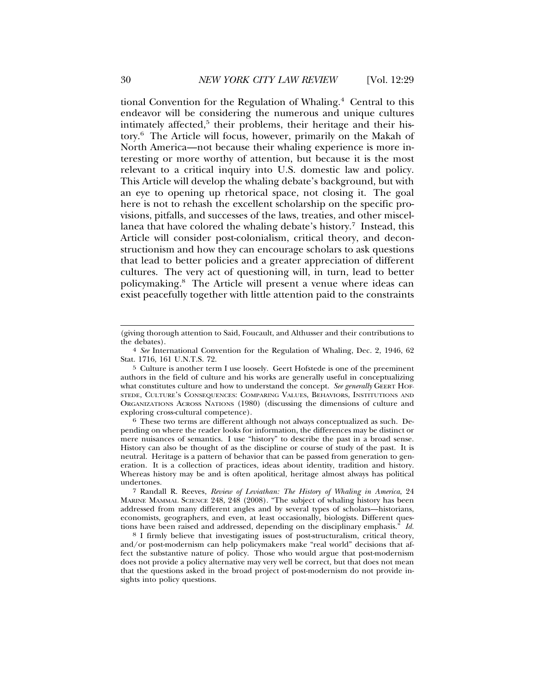tional Convention for the Regulation of Whaling.4 Central to this endeavor will be considering the numerous and unique cultures intimately affected,<sup>5</sup> their problems, their heritage and their history.6 The Article will focus, however, primarily on the Makah of North America—not because their whaling experience is more interesting or more worthy of attention, but because it is the most relevant to a critical inquiry into U.S. domestic law and policy. This Article will develop the whaling debate's background, but with an eye to opening up rhetorical space, not closing it. The goal here is not to rehash the excellent scholarship on the specific provisions, pitfalls, and successes of the laws, treaties, and other miscellanea that have colored the whaling debate's history.<sup>7</sup> Instead, this Article will consider post-colonialism, critical theory, and deconstructionism and how they can encourage scholars to ask questions that lead to better policies and a greater appreciation of different cultures. The very act of questioning will, in turn, lead to better policymaking.8 The Article will present a venue where ideas can exist peacefully together with little attention paid to the constraints

6 These two terms are different although not always conceptualized as such. Depending on where the reader looks for information, the differences may be distinct or mere nuisances of semantics. I use "history" to describe the past in a broad sense. History can also be thought of as the discipline or course of study of the past. It is neutral. Heritage is a pattern of behavior that can be passed from generation to generation. It is a collection of practices, ideas about identity, tradition and history. Whereas history may be and is often apolitical, heritage almost always has political undertones.

7 Randall R. Reeves, *Review of Leviathan: The History of Whaling in America*, 24 MARINE MAMMAL SCIENCE 248, 248 (2008). "The subject of whaling history has been addressed from many different angles and by several types of scholars—historians, economists, geographers, and even, at least occasionally, biologists. Different questions have been raised and addressed, depending on the disciplinary emphasis." *Id.*

8 I firmly believe that investigating issues of post-structuralism, critical theory, and/or post-modernism can help policymakers make "real world" decisions that affect the substantive nature of policy. Those who would argue that post-modernism does not provide a policy alternative may very well be correct, but that does not mean that the questions asked in the broad project of post-modernism do not provide insights into policy questions.

<sup>(</sup>giving thorough attention to Said, Foucault, and Althusser and their contributions to the debates).

<sup>4</sup> *See* International Convention for the Regulation of Whaling, Dec. 2, 1946, 62 Stat. 1716, 161 U.N.T.S. 72.

<sup>5</sup> Culture is another term I use loosely. Geert Hofstede is one of the preeminent authors in the field of culture and his works are generally useful in conceptualizing what constitutes culture and how to understand the concept. *See generally* GEERT HOF-STEDE, CULTURE'S CONSEQUENCES: COMPARING VALUES, BEHAVIORS, INSTITUTIONS AND ORGANIZATIONS ACROSS NATIONS (1980) (discussing the dimensions of culture and exploring cross-cultural competence).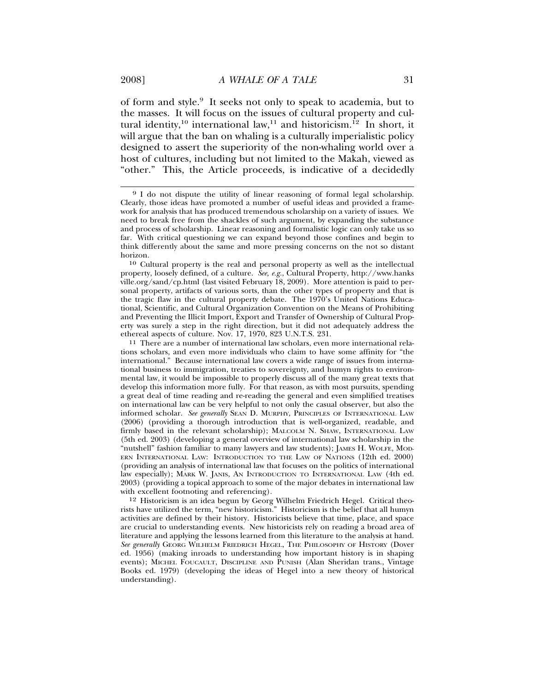of form and style.9 It seeks not only to speak to academia, but to the masses. It will focus on the issues of cultural property and cultural identity,<sup>10</sup> international law,<sup>11</sup> and historicism.<sup>12</sup> In short, it will argue that the ban on whaling is a culturally imperialistic policy designed to assert the superiority of the non-whaling world over a host of cultures, including but not limited to the Makah, viewed as "other." This, the Article proceeds, is indicative of a decidedly

10 Cultural property is the real and personal property as well as the intellectual property, loosely defined, of a culture. *See, e.g.*, Cultural Property, http://www.hanks ville.org/sand/cp.html (last visited February 18, 2009). More attention is paid to personal property, artifacts of various sorts, than the other types of property and that is the tragic flaw in the cultural property debate. The 1970's United Nations Educational, Scientific, and Cultural Organization Convention on the Means of Prohibiting and Preventing the Illicit Import, Export and Transfer of Ownership of Cultural Property was surely a step in the right direction, but it did not adequately address the ethereal aspects of culture. Nov. 17, 1970, 823 U.N.T.S. 231.

11 There are a number of international law scholars, even more international relations scholars, and even more individuals who claim to have some affinity for "the international." Because international law covers a wide range of issues from international business to immigration, treaties to sovereignty, and humyn rights to environmental law, it would be impossible to properly discuss all of the many great texts that develop this information more fully. For that reason, as with most pursuits, spending a great deal of time reading and re-reading the general and even simplified treatises on international law can be very helpful to not only the casual observer, but also the informed scholar. *See generally* SEAN D. MURPHY, PRINCIPLES OF INTERNATIONAL LAW (2006) (providing a thorough introduction that is well-organized, readable, and firmly based in the relevant scholarship); MALCOLM N. SHAW, INTERNATIONAL LAW (5th ed. 2003) (developing a general overview of international law scholarship in the "nutshell" fashion familiar to many lawyers and law students); JAMES H. WOLFE, MOD-ERN INTERNATIONAL LAW: INTRODUCTION TO THE LAW OF NATIONS (12th ed. 2000) (providing an analysis of international law that focuses on the politics of international law especially); MARK W. JANIS, AN INTRODUCTION TO INTERNATIONAL LAW (4th ed. 2003) (providing a topical approach to some of the major debates in international law with excellent footnoting and referencing).

12 Historicism is an idea begun by Georg Wilhelm Friedrich Hegel. Critical theorists have utilized the term, "new historicism." Historicism is the belief that all humyn activities are defined by their history. Historicists believe that time, place, and space are crucial to understanding events. New historicists rely on reading a broad area of literature and applying the lessons learned from this literature to the analysis at hand. *See generally* GEORG WILHELM FRIEDRICH HEGEL, THE PHILOSOPHY OF HISTORY (Dover ed. 1956) (making inroads to understanding how important history is in shaping events); MICHEL FOUCAULT, DISCIPLINE AND PUNISH (Alan Sheridan trans., Vintage Books ed. 1979) (developing the ideas of Hegel into a new theory of historical understanding).

<sup>9</sup> I do not dispute the utility of linear reasoning of formal legal scholarship. Clearly, those ideas have promoted a number of useful ideas and provided a framework for analysis that has produced tremendous scholarship on a variety of issues. We need to break free from the shackles of such argument, by expanding the substance and process of scholarship. Linear reasoning and formalistic logic can only take us so far. With critical questioning we can expand beyond those confines and begin to think differently about the same and more pressing concerns on the not so distant horizon.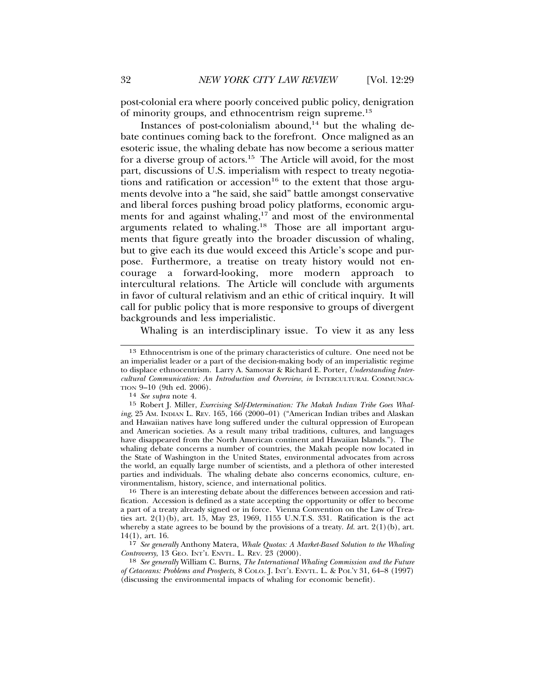post-colonial era where poorly conceived public policy, denigration of minority groups, and ethnocentrism reign supreme.<sup>13</sup>

Instances of post-colonialism abound, $14$  but the whaling debate continues coming back to the forefront. Once maligned as an esoteric issue, the whaling debate has now become a serious matter for a diverse group of actors.15 The Article will avoid, for the most part, discussions of U.S. imperialism with respect to treaty negotiations and ratification or accession<sup>16</sup> to the extent that those arguments devolve into a "he said, she said" battle amongst conservative and liberal forces pushing broad policy platforms, economic arguments for and against whaling,<sup>17</sup> and most of the environmental arguments related to whaling.18 Those are all important arguments that figure greatly into the broader discussion of whaling, but to give each its due would exceed this Article's scope and purpose. Furthermore, a treatise on treaty history would not encourage a forward-looking, more modern approach to intercultural relations. The Article will conclude with arguments in favor of cultural relativism and an ethic of critical inquiry. It will call for public policy that is more responsive to groups of divergent backgrounds and less imperialistic.

Whaling is an interdisciplinary issue. To view it as any less

<sup>13</sup> Ethnocentrism is one of the primary characteristics of culture. One need not be an imperialist leader or a part of the decision-making body of an imperialistic regime to displace ethnocentrism. Larry A. Samovar & Richard E. Porter, *Understanding Intercultural Communication: An Introduction and Overview*, *in* INTERCULTURAL COMMUNICA-TION 9–10 (9th ed. 2006). <sup>14</sup> *See supra* note 4.

<sup>15</sup> Robert J. Miller, *Exercising Self-Determination: The Makah Indian Tribe Goes Whaling*, 25 AM. INDIAN L. REV. 165, 166 (2000–01) ("American Indian tribes and Alaskan and Hawaiian natives have long suffered under the cultural oppression of European and American societies. As a result many tribal traditions, cultures, and languages have disappeared from the North American continent and Hawaiian Islands."). The whaling debate concerns a number of countries, the Makah people now located in the State of Washington in the United States, environmental advocates from across the world, an equally large number of scientists, and a plethora of other interested parties and individuals. The whaling debate also concerns economics, culture, environmentalism, history, science, and international politics.

<sup>16</sup> There is an interesting debate about the differences between accession and ratification. Accession is defined as a state accepting the opportunity or offer to become a part of a treaty already signed or in force. Vienna Convention on the Law of Treaties art. 2(1)(b), art. 15, May 23, 1969, 1155 U.N.T.S. 331. Ratification is the act whereby a state agrees to be bound by the provisions of a treaty. *Id.* art.  $2(1)(b)$ , art. 14(1), art. 16.

<sup>17</sup> *See generally* Anthony Matera, *Whale Quotas: A Market-Based Solution to the Whaling Controversy*, 13 GEO. INT'L ENVTL. L. REV. 23 (2000).

<sup>18</sup> *See generally* William C. Burns, *The International Whaling Commission and the Future of Cetaceans: Problems and Prospects*, 8 COLO. J. INT'L ENVTL. L. & POL'Y 31, 64–8 (1997) (discussing the environmental impacts of whaling for economic benefit).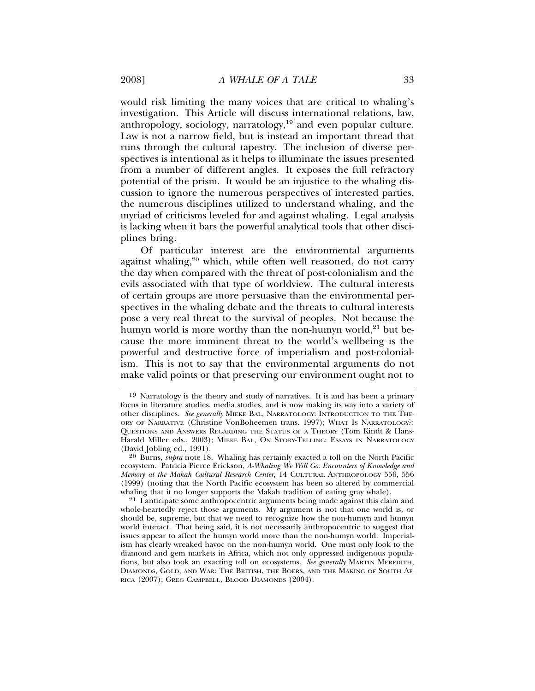would risk limiting the many voices that are critical to whaling's investigation. This Article will discuss international relations, law, anthropology, sociology, narratology,19 and even popular culture. Law is not a narrow field, but is instead an important thread that runs through the cultural tapestry. The inclusion of diverse perspectives is intentional as it helps to illuminate the issues presented from a number of different angles. It exposes the full refractory potential of the prism. It would be an injustice to the whaling discussion to ignore the numerous perspectives of interested parties, the numerous disciplines utilized to understand whaling, and the myriad of criticisms leveled for and against whaling. Legal analysis is lacking when it bars the powerful analytical tools that other disciplines bring.

Of particular interest are the environmental arguments against whaling,<sup>20</sup> which, while often well reasoned, do not carry the day when compared with the threat of post-colonialism and the evils associated with that type of worldview. The cultural interests of certain groups are more persuasive than the environmental perspectives in the whaling debate and the threats to cultural interests pose a very real threat to the survival of peoples. Not because the humyn world is more worthy than the non-humyn world, $21$  but because the more imminent threat to the world's wellbeing is the powerful and destructive force of imperialism and post-colonialism. This is not to say that the environmental arguments do not make valid points or that preserving our environment ought not to

<sup>19</sup> Narratology is the theory and study of narratives. It is and has been a primary focus in literature studies, media studies, and is now making its way into a variety of other disciplines. *See generally* MIEKE BAL, NARRATOLOGY: INTRODUCTION TO THE THE-ORY OF NARRATIVE (Christine VonBoheemen trans. 1997); WHAT IS NARRATOLOGY?: QUESTIONS AND ANSWERS REGARDING THE STATUS OF A THEORY (Tom Kindt & Hans-Harald Miller eds., 2003); MIEKE BAL, ON STORY-TELLING: ESSAYS IN NARRATOLOGY (David Jobling ed., 1991).

<sup>20</sup> Burns, *supra* note 18. Whaling has certainly exacted a toll on the North Pacific ecosystem. Patricia Pierce Erickson, *A-Whaling We Will Go: Encounters of Knowledge and Memory at the Makah Cultural Research Center*, 14 CULTURAL ANTHROPOLOGY 556, 556 (1999) (noting that the North Pacific ecosystem has been so altered by commercial whaling that it no longer supports the Makah tradition of eating gray whale).

<sup>21</sup> I anticipate some anthropocentric arguments being made against this claim and whole-heartedly reject those arguments. My argument is not that one world is, or should be, supreme, but that we need to recognize how the non-humyn and humyn world interact. That being said, it is not necessarily anthropocentric to suggest that issues appear to affect the humyn world more than the non-humyn world. Imperialism has clearly wreaked havoc on the non-humyn world. One must only look to the diamond and gem markets in Africa, which not only oppressed indigenous populations, but also took an exacting toll on ecosystems. *See generally* MARTIN MEREDITH, DIAMONDS, GOLD, AND WAR: THE BRITISH, THE BOERS, AND THE MAKING OF SOUTH AF-RICA (2007); GREG CAMPBELL, BLOOD DIAMONDS (2004).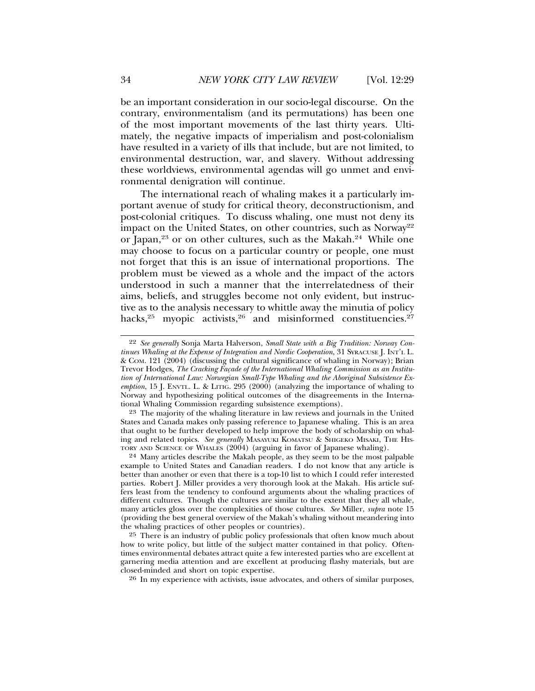be an important consideration in our socio-legal discourse. On the contrary, environmentalism (and its permutations) has been one of the most important movements of the last thirty years. Ultimately, the negative impacts of imperialism and post-colonialism have resulted in a variety of ills that include, but are not limited, to environmental destruction, war, and slavery. Without addressing these worldviews, environmental agendas will go unmet and environmental denigration will continue.

The international reach of whaling makes it a particularly important avenue of study for critical theory, deconstructionism, and post-colonial critiques. To discuss whaling, one must not deny its impact on the United States, on other countries, such as Norway<sup>22</sup> or Japan,<sup>23</sup> or on other cultures, such as the Makah.<sup>24</sup> While one may choose to focus on a particular country or people, one must not forget that this is an issue of international proportions. The problem must be viewed as a whole and the impact of the actors understood in such a manner that the interrelatedness of their aims, beliefs, and struggles become not only evident, but instructive as to the analysis necessary to whittle away the minutia of policy hacks, $25$  myopic activists, $26$  and misinformed constituencies. $27$ 

<sup>22</sup> *See generally* Sonja Marta Halverson, *Small State with a Big Tradition: Norway Continues Whaling at the Expense of Integration and Nordic Cooperation*, 31 SYRACUSE J. INT'L L. & COM. 121 (2004) (discussing the cultural significance of whaling in Norway); Brian Trevor Hodges, The Cracking Façade of the International Whaling Commission as an Institu*tion of International Law: Norwegian Small-Type Whaling and the Aboriginal Subsistence Exemption*, 15 J. ENVTL. L. & LITIG. 295 (2000) (analyzing the importance of whaling to Norway and hypothesizing political outcomes of the disagreements in the International Whaling Commission regarding subsistence exemptions).

<sup>23</sup> The majority of the whaling literature in law reviews and journals in the United States and Canada makes only passing reference to Japanese whaling. This is an area that ought to be further developed to help improve the body of scholarship on whaling and related topics. *See generally* MASAYUKI KOMATSU & SHIGEKO MISAKI, THE HIS-TORY AND SCIENCE OF WHALES (2004) (arguing in favor of Japanese whaling).

<sup>24</sup> Many articles describe the Makah people, as they seem to be the most palpable example to United States and Canadian readers. I do not know that any article is better than another or even that there is a top-10 list to which I could refer interested parties. Robert J. Miller provides a very thorough look at the Makah. His article suffers least from the tendency to confound arguments about the whaling practices of different cultures. Though the cultures are similar to the extent that they all whale, many articles gloss over the complexities of those cultures. *See* Miller, *supra* note 15 (providing the best general overview of the Makah's whaling without meandering into the whaling practices of other peoples or countries).

<sup>25</sup> There is an industry of public policy professionals that often know much about how to write policy, but little of the subject matter contained in that policy. Oftentimes environmental debates attract quite a few interested parties who are excellent at garnering media attention and are excellent at producing flashy materials, but are closed-minded and short on topic expertise.

<sup>26</sup> In my experience with activists, issue advocates, and others of similar purposes,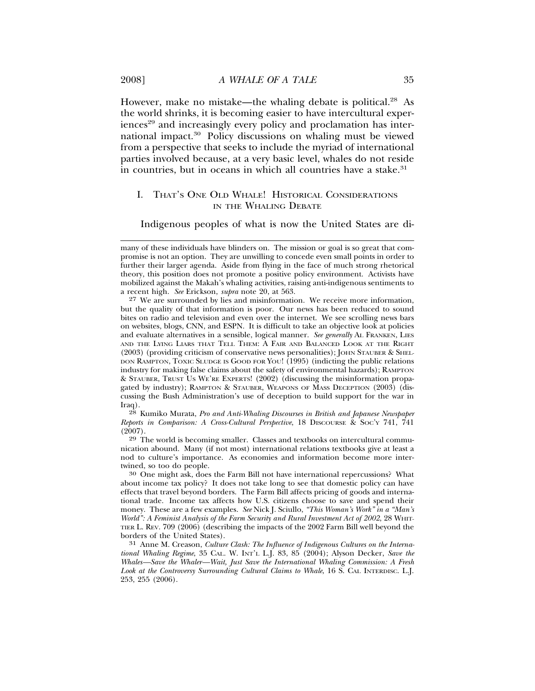However, make no mistake—the whaling debate is political.<sup>28</sup> As the world shrinks, it is becoming easier to have intercultural experiences<sup>29</sup> and increasingly every policy and proclamation has international impact.30 Policy discussions on whaling must be viewed from a perspective that seeks to include the myriad of international parties involved because, at a very basic level, whales do not reside in countries, but in oceans in which all countries have a stake.<sup>31</sup>

## I. THAT'S ONE OLD WHALE! HISTORICAL CONSIDERATIONS IN THE WHALING DEBATE

Indigenous peoples of what is now the United States are di-

27 We are surrounded by lies and misinformation. We receive more information, but the quality of that information is poor. Our news has been reduced to sound bites on radio and television and even over the internet. We see scrolling news bars on websites, blogs, CNN, and ESPN. It is difficult to take an objective look at policies and evaluate alternatives in a sensible, logical manner. *See generally* AL FRANKEN, LIES AND THE LYING LIARS THAT TELL THEM: A FAIR AND BALANCED LOOK AT THE RIGHT (2003) (providing criticism of conservative news personalities); JOHN STAUBER & SHEL-DON RAMPTON, TOXIC SLUDGE IS GOOD FOR YOU! (1995) (indicting the public relations industry for making false claims about the safety of environmental hazards); RAMPTON & STAUBER, TRUST US WE'RE EXPERTS! (2002) (discussing the misinformation propagated by industry); RAMPTON & STAUBER, WEAPONS OF MASS DECEPTION (2003) (discussing the Bush Administration's use of deception to build support for the war in Iraq).

28 Kumiko Murata, *Pro and Anti-Whaling Discourses in British and Japanese Newspaper Reports in Comparison: A Cross-Cultural Perspective*, 18 DISCOURSE & SOC'Y 741, 741  $(2007)$ .

29 The world is becoming smaller. Classes and textbooks on intercultural communication abound. Many (if not most) international relations textbooks give at least a nod to culture's importance. As economies and information become more inter-

 $130$  One might ask, does the Farm Bill not have international repercussions? What about income tax policy? It does not take long to see that domestic policy can have effects that travel beyond borders. The Farm Bill affects pricing of goods and international trade. Income tax affects how U.S. citizens choose to save and spend their money. These are a few examples. *See* Nick J. Sciullo, *"This Woman's Work" in a "Man's World": A Feminist Analysis of the Farm Security and Rural Investment Act of 2002*, 28 WHIT-TIER L. REV. 709 (2006) (describing the impacts of the 2002 Farm Bill well beyond the borders of the United States).

31 Anne M. Creason, *Culture Clash: The Influence of Indigenous Cultures on the International Whaling Regime*, 35 CAL. W. INT'L L.J. 83, 85 (2004); Alyson Decker, *Save the Whales—Save the Whaler—Wait, Just Save the International Whaling Commission: A Fresh* Look at the Controversy Surrounding Cultural Claims to Whale, 16 S. CAL INTERDISC. L.J. 253, 255 (2006).

many of these individuals have blinders on. The mission or goal is so great that compromise is not an option. They are unwilling to concede even small points in order to further their larger agenda. Aside from flying in the face of much strong rhetorical theory, this position does not promote a positive policy environment. Activists have mobilized against the Makah's whaling activities, raising anti-indigenous sentiments to a recent high. *See* Erickson, *supra* note 20, at 563.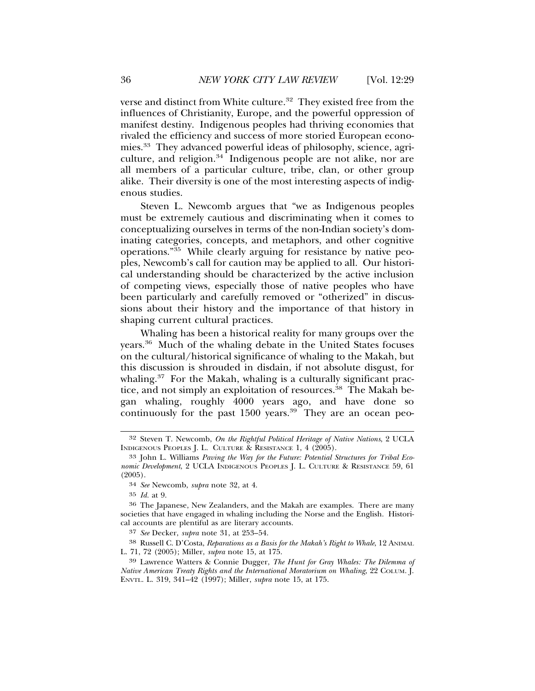verse and distinct from White culture.<sup>32</sup> They existed free from the influences of Christianity, Europe, and the powerful oppression of manifest destiny. Indigenous peoples had thriving economies that rivaled the efficiency and success of more storied European economies.33 They advanced powerful ideas of philosophy, science, agriculture, and religion.<sup>34</sup> Indigenous people are not alike, nor are all members of a particular culture, tribe, clan, or other group alike. Their diversity is one of the most interesting aspects of indigenous studies.

Steven L. Newcomb argues that "we as Indigenous peoples must be extremely cautious and discriminating when it comes to conceptualizing ourselves in terms of the non-Indian society's dominating categories, concepts, and metaphors, and other cognitive operations."35 While clearly arguing for resistance by native peoples, Newcomb's call for caution may be applied to all. Our historical understanding should be characterized by the active inclusion of competing views, especially those of native peoples who have been particularly and carefully removed or "otherized" in discussions about their history and the importance of that history in shaping current cultural practices.

Whaling has been a historical reality for many groups over the years.36 Much of the whaling debate in the United States focuses on the cultural/historical significance of whaling to the Makah, but this discussion is shrouded in disdain, if not absolute disgust, for whaling.<sup>37</sup> For the Makah, whaling is a culturally significant practice, and not simply an exploitation of resources.<sup>38</sup> The Makah began whaling, roughly 4000 years ago, and have done so continuously for the past  $1500$  years.<sup>39</sup> They are an ocean peo-

<sup>32</sup> Steven T. Newcomb, *On the Rightful Political Heritage of Native Nations*, 2 UCLA INDIGENOUS PEOPLES J. L. CULTURE & RESISTANCE 1, 4 (2005).

<sup>33</sup> John L. Williams *Paving the Way for the Future: Potential Structures for Tribal Economic Development*, 2 UCLA INDIGENOUS PEOPLES J. L. CULTURE & RESISTANCE 59, 61 (2005).

<sup>34</sup> *See* Newcomb, *supra* note 32, at 4.

<sup>35</sup> *Id.* at 9.

<sup>36</sup> The Japanese, New Zealanders, and the Makah are examples. There are many societies that have engaged in whaling including the Norse and the English. Historical accounts are plentiful as are literary accounts.

<sup>37</sup> *See* Decker, *supra* note 31, at 253–54.

<sup>38</sup> Russell C. D'Costa, *Reparations as a Basis for the Makah's Right to Whale*, 12 ANIMAL L. 71, 72 (2005); Miller, *supra* note 15, at 175.

<sup>39</sup> Lawrence Watters & Connie Dugger, *The Hunt for Gray Whales: The Dilemma of Native American Treaty Rights and the International Moratorium on Whaling*, 22 COLUM. J. ENVTL. L. 319, 341–42 (1997); Miller, *supra* note 15, at 175.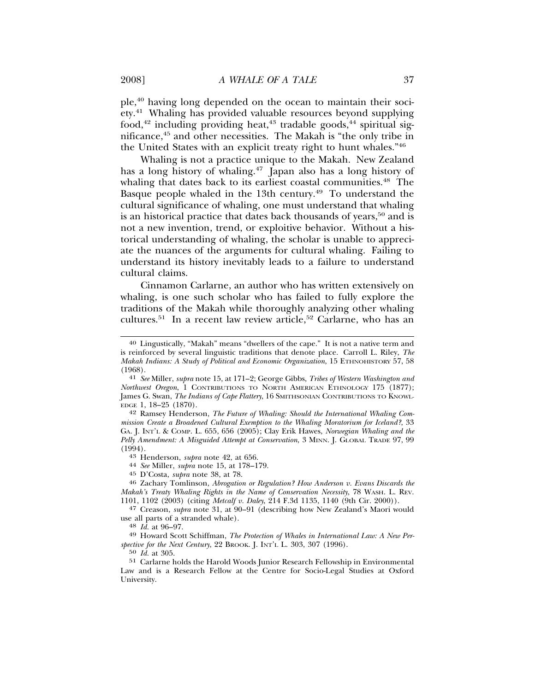ple,40 having long depended on the ocean to maintain their society.41 Whaling has provided valuable resources beyond supplying food,<sup>42</sup> including providing heat,<sup>43</sup> tradable goods,<sup>44</sup> spiritual significance,45 and other necessities. The Makah is "the only tribe in the United States with an explicit treaty right to hunt whales."46

Whaling is not a practice unique to the Makah. New Zealand has a long history of whaling.<sup>47</sup> Japan also has a long history of whaling that dates back to its earliest coastal communities.<sup>48</sup> The Basque people whaled in the 13th century.<sup>49</sup> To understand the cultural significance of whaling, one must understand that whaling is an historical practice that dates back thousands of years,<sup>50</sup> and is not a new invention, trend, or exploitive behavior. Without a historical understanding of whaling, the scholar is unable to appreciate the nuances of the arguments for cultural whaling. Failing to understand its history inevitably leads to a failure to understand cultural claims.

Cinnamon Carlarne, an author who has written extensively on whaling, is one such scholar who has failed to fully explore the traditions of the Makah while thoroughly analyzing other whaling cultures.<sup>51</sup> In a recent law review article,<sup>52</sup> Carlarne, who has an

<sup>45</sup> D'Costa, *supra* note 38, at 78. <sup>46</sup> Zachary Tomlinson, *Abrogation or Regulation? How Anderson v. Evans Discards the Makah's Treaty Whaling Rights in the Name of Conservation Necessity*, 78 WASH. L. REV. 1101, 1102 (2003) (citing *Metcalf v. Daley*, 214 F.3d 1135, 1140 (9th Cir. 2000)).

<sup>47</sup> Creason, *supra* note 31, at 90–91 (describing how New Zealand's Maori would use all parts of a stranded whale).

<sup>48</sup> Id. at 96–97.<br><sup>49</sup> Howard Scott Schiffman, *The Protection of Whales in International Law: A New Perspective for the Next Century*, 22 BROOK. J. INT'L L. 303, 307 (1996).

50 *Id.* at 305.

51 Carlarne holds the Harold Woods Junior Research Fellowship in Environmental Law and is a Research Fellow at the Centre for Socio-Legal Studies at Oxford University.

<sup>40</sup> Lingustically, "Makah" means "dwellers of the cape." It is not a native term and is reinforced by several linguistic traditions that denote place. Carroll L. Riley, *The Makah Indians: A Study of Political and Economic Organization*, 15 ETHNOHISTORY 57, 58

<sup>(1968).</sup> <sup>41</sup> *See* Miller, *supra* note 15, at 171–2; George Gibbs, *Tribes of Western Washington and Northwest Oregon*, 1 CONTRIBUTIONS TO NORTH AMERICAN ETHNOLOGY 175 (1877); James G. Swan, *The Indians of Cape Flattery*, 16 SMITHSONIAN CONTRIBUTIONS TO KNOWL-EDGE 1, 18–25 (1870).

<sup>42</sup> Ramsey Henderson, *The Future of Whaling: Should the International Whaling Commission Create a Broadened Cultural Exemption to the Whaling Moratorium for Iceland?*, 33 GA. J. INT'L & COMP. L. 655, 656 (2005); Clay Erik Hawes, *Norwegian Whaling and the Pelly Amendment: A Misguided Attempt at Conservation*, 3 MINN. J. GLOBAL TRADE 97, 99 (1994). <sup>43</sup> Henderson, *supra* note 42, at 656. <sup>44</sup> *See* Miller, *supra* note 15, at 178–179.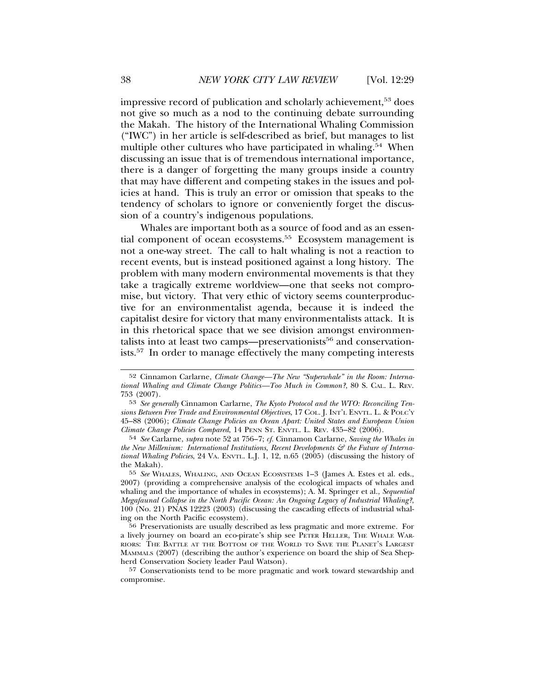impressive record of publication and scholarly achievement,<sup>53</sup> does not give so much as a nod to the continuing debate surrounding the Makah. The history of the International Whaling Commission ("IWC") in her article is self-described as brief, but manages to list multiple other cultures who have participated in whaling.<sup>54</sup> When discussing an issue that is of tremendous international importance, there is a danger of forgetting the many groups inside a country that may have different and competing stakes in the issues and policies at hand. This is truly an error or omission that speaks to the tendency of scholars to ignore or conveniently forget the discussion of a country's indigenous populations.

Whales are important both as a source of food and as an essential component of ocean ecosystems.<sup>55</sup> Ecosystem management is not a one-way street. The call to halt whaling is not a reaction to recent events, but is instead positioned against a long history. The problem with many modern environmental movements is that they take a tragically extreme worldview—one that seeks not compromise, but victory. That very ethic of victory seems counterproductive for an environmentalist agenda, because it is indeed the capitalist desire for victory that many environmentalists attack. It is in this rhetorical space that we see division amongst environmentalists into at least two camps—preservationists<sup>56</sup> and conservationists.57 In order to manage effectively the many competing interests

<sup>52</sup> Cinnamon Carlarne, *Climate Change—The New "Superwhale" in the Room: International Whaling and Climate Change Politics—Too Much in Common?*, 80 S. CAL. L. REV. 753 (2007).

<sup>53</sup> *See generally* Cinnamon Carlarne, *The Kyoto Protocol and the WTO: Reconciling Tensions Between Free Trade and Environmental Objectives*, 17 COL. J. INT'L ENVTL. L. & POLC'Y 45–88 (2006); *Climate Change Policies an Ocean Apart: United States and European Union Climate Change Policies Compared*, 14 PENN ST. ENVTL. L. REV. 435–82 (2006).

<sup>54</sup> *See* Carlarne, *supra* note 52 at 756–7; *cf.* Cinnamon Carlarne, *Saving the Whales in* the New Millenium: International Institutions, Recent Developments & the Future of Interna*tional Whaling Policies*, 24 VA. ENVTL. L.J. 1, 12, n.65 (2005) (discussing the history of the Makah).

<sup>55</sup> *See* WHALES, WHALING, AND OCEAN ECOSYSTEMS 1–3 (James A. Estes et al. eds., 2007) (providing a comprehensive analysis of the ecological impacts of whales and whaling and the importance of whales in ecosystems); A. M. Springer et al., *Sequential Megafaunal Collapse in the North Pacific Ocean: An Ongoing Legacy of Industrial Whaling?*, 100 (No. 21) PNAS 12223 (2003) (discussing the cascading effects of industrial whaling on the North Pacific ecosystem).

<sup>56</sup> Preservationists are usually described as less pragmatic and more extreme. For a lively journey on board an eco-pirate's ship see PETER HELLER, THE WHALE WAR-RIORS: THE BATTLE AT THE BOTTOM OF THE WORLD TO SAVE THE PLANET'S LARGEST MAMMALS (2007) (describing the author's experience on board the ship of Sea Shepherd Conservation Society leader Paul Watson).

<sup>57</sup> Conservationists tend to be more pragmatic and work toward stewardship and compromise.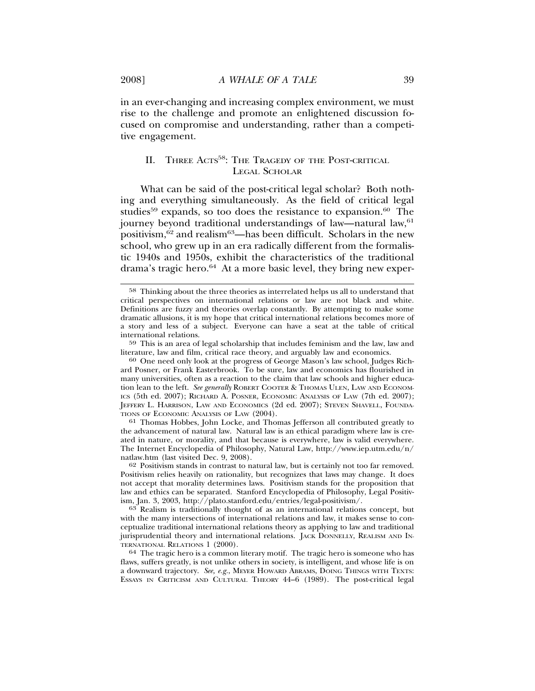in an ever-changing and increasing complex environment, we must rise to the challenge and promote an enlightened discussion focused on compromise and understanding, rather than a competitive engagement.

## II. THREE ACTS<sup>58</sup>: THE TRAGEDY OF THE POST-CRITICAL LEGAL SCHOLAR

What can be said of the post-critical legal scholar? Both nothing and everything simultaneously. As the field of critical legal studies<sup>59</sup> expands, so too does the resistance to expansion.<sup>60</sup> The journey beyond traditional understandings of law—natural law, <sup>61</sup> positivism,  $62$  and realism<sup>63</sup>—has been difficult. Scholars in the new school, who grew up in an era radically different from the formalistic 1940s and 1950s, exhibit the characteristics of the traditional drama's tragic hero.<sup>64</sup> At a more basic level, they bring new exper-

61 Thomas Hobbes, John Locke, and Thomas Jefferson all contributed greatly to the advancement of natural law. Natural law is an ethical paradigm where law is created in nature, or morality, and that because is everywhere, law is valid everywhere. The Internet Encyclopedia of Philosophy, Natural Law, http://www.iep.utm.edu/n/ natlaw.htm (last visited Dec. 9, 2008).

62 Positivism stands in contrast to natural law, but is certainly not too far removed. Positivism relies heavily on rationality, but recognizes that laws may change. It does not accept that morality determines laws. Positivism stands for the proposition that law and ethics can be separated. Stanford Encyclopedia of Philosophy, Legal Positivism, Jan. 3, 2003, http://plato.stanford.edu/entries/legal-positivism/. <sup>63</sup> Realism is traditionally thought of as an international relations concept, but

with the many intersections of international relations and law, it makes sense to conceptualize traditional international relations theory as applying to law and traditional jurisprudential theory and international relations. JACK DONNELLY, REALISM AND IN-TERNATIONAL RELATIONS 1 (2000).<br><sup>64</sup> The tragic hero is a common literary motif. The tragic hero is someone who has

flaws, suffers greatly, is not unlike others in society, is intelligent, and whose life is on a downward trajectory. *See, e.g.*, MEYER HOWARD ABRAMS, DOING THINGS WITH TEXTS: ESSAYS IN CRITICISM AND CULTURAL THEORY 44–6 (1989). The post-critical legal

<sup>58</sup> Thinking about the three theories as interrelated helps us all to understand that critical perspectives on international relations or law are not black and white. Definitions are fuzzy and theories overlap constantly. By attempting to make some dramatic allusions, it is my hope that critical international relations becomes more of a story and less of a subject. Everyone can have a seat at the table of critical international relations.

<sup>59</sup> This is an area of legal scholarship that includes feminism and the law, law and literature, law and film, critical race theory, and arguably law and economics. <sup>60</sup> One need only look at the progress of George Mason's law school, Judges Rich-

ard Posner, or Frank Easterbrook. To be sure, law and economics has flourished in many universities, often as a reaction to the claim that law schools and higher education lean to the left. *See generally* ROBERT COOTER & THOMAS ULEN, LAW AND ECONOM-ICS (5th ed. 2007); RICHARD A. POSNER, ECONOMIC ANALYSIS OF LAW (7th ed. 2007); JEFFERY L. HARRISON, LAW AND ECONOMICS (2d ed. 2007); STEVEN SHAVELL, FOUNDA-TIONS OF ECONOMIC ANALYSIS OF LAW (2004).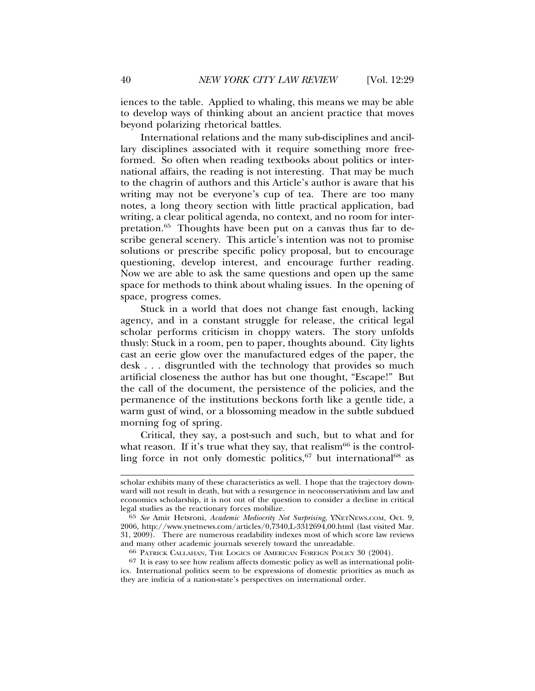iences to the table. Applied to whaling, this means we may be able to develop ways of thinking about an ancient practice that moves beyond polarizing rhetorical battles.

International relations and the many sub-disciplines and ancillary disciplines associated with it require something more freeformed. So often when reading textbooks about politics or international affairs, the reading is not interesting. That may be much to the chagrin of authors and this Article's author is aware that his writing may not be everyone's cup of tea. There are too many notes, a long theory section with little practical application, bad writing, a clear political agenda, no context, and no room for interpretation.65 Thoughts have been put on a canvas thus far to describe general scenery. This article's intention was not to promise solutions or prescribe specific policy proposal, but to encourage questioning, develop interest, and encourage further reading. Now we are able to ask the same questions and open up the same space for methods to think about whaling issues. In the opening of space, progress comes.

Stuck in a world that does not change fast enough, lacking agency, and in a constant struggle for release, the critical legal scholar performs criticism in choppy waters. The story unfolds thusly: Stuck in a room, pen to paper, thoughts abound. City lights cast an eerie glow over the manufactured edges of the paper, the desk . . . disgruntled with the technology that provides so much artificial closeness the author has but one thought, "Escape!" But the call of the document, the persistence of the policies, and the permanence of the institutions beckons forth like a gentle tide, a warm gust of wind, or a blossoming meadow in the subtle subdued morning fog of spring.

Critical, they say, a post-such and such, but to what and for what reason. If it's true what they say, that realism<sup>66</sup> is the controlling force in not only domestic politics,  $67$  but international<sup>68</sup> as

scholar exhibits many of these characteristics as well. I hope that the trajectory downward will not result in death, but with a resurgence in neoconservativism and law and economics scholarship, it is not out of the question to consider a decline in critical legal studies as the reactionary forces mobilize.

<sup>65</sup> *See* Amir Hetsroni, *Academic Mediocrity Not Surprising*, YNETNEWS.COM, Oct. 9, 2006, http://www.ynetnews.com/articles/0,7340,L-3312694,00.html (last visited Mar. 31, 2009). There are numerous readability indexes most of which score law reviews and many other academic journals severely toward the unreadable.

<sup>66</sup> PATRICK CALLAHAN, THE LOGICS OF AMERICAN FOREIGN POLICY 30 (2004).

<sup>67</sup> It is easy to see how realism affects domestic policy as well as international politics. International politics seem to be expressions of domestic priorities as much as they are indicia of a nation-state's perspectives on international order.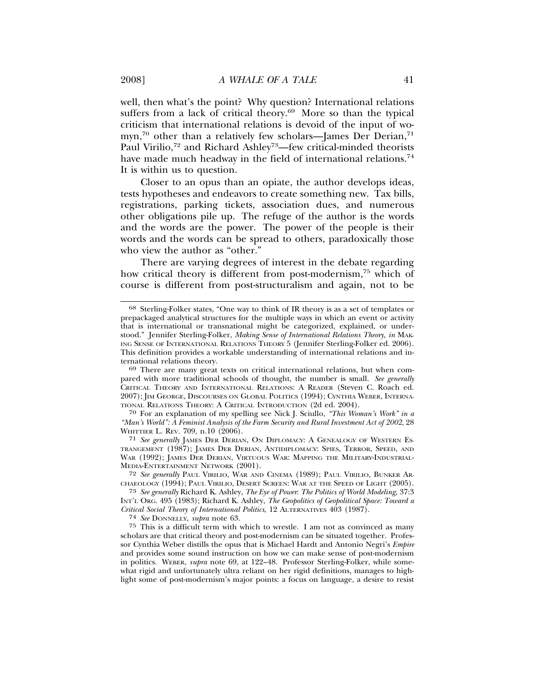well, then what's the point? Why question? International relations suffers from a lack of critical theory.<sup>69</sup> More so than the typical criticism that international relations is devoid of the input of womyn,<sup>70</sup> other than a relatively few scholars—James Der Derian,<sup>71</sup> Paul Virilio,<sup>72</sup> and Richard Ashley<sup>73</sup>—few critical-minded theorists have made much headway in the field of international relations.<sup>74</sup> It is within us to question.

Closer to an opus than an opiate, the author develops ideas, tests hypotheses and endeavors to create something new. Tax bills, registrations, parking tickets, association dues, and numerous other obligations pile up. The refuge of the author is the words and the words are the power. The power of the people is their words and the words can be spread to others, paradoxically those who view the author as "other."

There are varying degrees of interest in the debate regarding how critical theory is different from post-modernism,<sup>75</sup> which of course is different from post-structuralism and again, not to be

70 For an explanation of my spelling see Nick J. Sciullo, *"This Woman's Work" in a "Man's World": A Feminist Analysis of the Farm Security and Rural Investment Act of 2002*, 28 WHITTIER L. REV. 709, n.10 (2006).

71 *See generally* JAMES DER DERIAN, ON DIPLOMACY: A GENEALOGY OF WESTERN ES-TRANGEMENT (1987); JAMES DER DERIAN, ANTIDIPLOMACY: SPIES, TERROR, SPEED, AND WAR (1992); JAMES DER DERIAN, VIRTUOUS WAR: MAPPING THE MILITARY-INDUSTRIAL-MEDIA-ENTERTAINMENT NETWORK (2001).

72 *See generally* PAUL VIRILIO, WAR AND CINEMA (1989); PAUL VIRILIO, BUNKER AR-CHAEOLOGY (1994); PAUL VIRILIO, DESERT SCREEN: WAR AT THE SPEED OF LIGHT (2005).

74 *See* DONNELLY, *supra* note 63.

75 This is a difficult term with which to wrestle. I am not as convinced as many scholars are that critical theory and post-modernism can be situated together. Professor Cynthia Weber distills the opus that is Michael Hardt and Antonio Negri's *Empire* and provides some sound instruction on how we can make sense of post-modernism in politics. WEBER, *supra* note 69, at 122–48. Professor Sterling-Folker, while somewhat rigid and unfortunately ultra reliant on her rigid definitions, manages to highlight some of post-modernism's major points: a focus on language, a desire to resist

<sup>68</sup> Sterling-Folker states, "One way to think of IR theory is as a set of templates or prepackaged analytical structures for the multiple ways in which an event or activity that is international or transnational might be categorized, explained, or understood." Jennifer Sterling-Folker, *Making Sense of International Relations Theory, in* MAK-ING SENSE OF INTERNATIONAL RELATIONS THEORY 5 (Jennifer Sterling-Folker ed. 2006). This definition provides a workable understanding of international relations and in-

<sup>&</sup>lt;sup>69</sup> There are many great texts on critical international relations, but when compared with more traditional schools of thought, the number is small. *See generally* CRITICAL THEORY AND INTERNATIONAL RELATIONS: A READER (Steven C. Roach ed. 2007); JIM GEORGE, DISCOURSES ON GLOBAL POLITICS (1994); CYNTHIA WEBER, INTERNA-TIONAL RELATIONS THEORY: A CRITICAL INTRODUCTION (2d ed. 2004).

<sup>73</sup> *See generally* Richard K. Ashley, *The Eye of Power*: *The Politics of World Modeling*, 37:3 INT'L ORG. 495 (1983); Richard K. Ashley, *The Geopolitics of Geopolitical Space: Toward a Critical Social Theory of International Politics*, 12 ALTERNATIVES 403 (1987).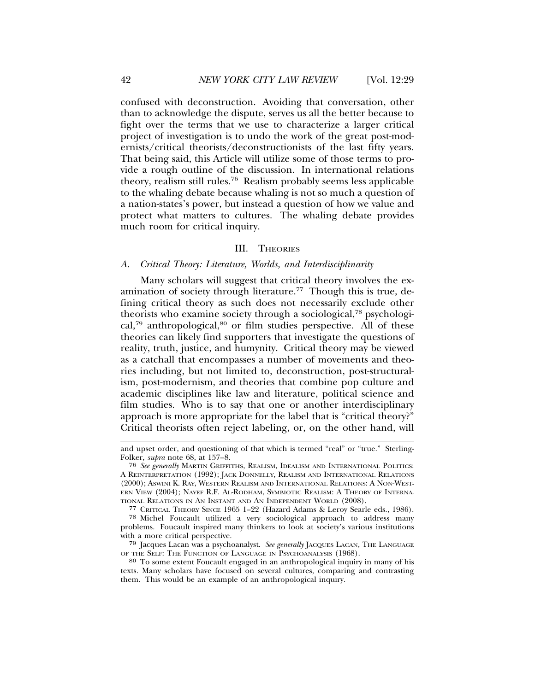confused with deconstruction. Avoiding that conversation, other than to acknowledge the dispute, serves us all the better because to fight over the terms that we use to characterize a larger critical project of investigation is to undo the work of the great post-modernists/critical theorists/deconstructionists of the last fifty years. That being said, this Article will utilize some of those terms to provide a rough outline of the discussion. In international relations theory, realism still rules.76 Realism probably seems less applicable to the whaling debate because whaling is not so much a question of a nation-states's power, but instead a question of how we value and protect what matters to cultures. The whaling debate provides much room for critical inquiry.

#### III. THEORIES

#### *A. Critical Theory: Literature, Worlds, and Interdisciplinarity*

Many scholars will suggest that critical theory involves the examination of society through literature.<sup>77</sup> Though this is true, defining critical theory as such does not necessarily exclude other theorists who examine society through a sociological,78 psychological,<sup>79</sup> anthropological, $80$  or film studies perspective. All of these theories can likely find supporters that investigate the questions of reality, truth, justice, and humynity. Critical theory may be viewed as a catchall that encompasses a number of movements and theories including, but not limited to, deconstruction, post-structuralism, post-modernism, and theories that combine pop culture and academic disciplines like law and literature, political science and film studies. Who is to say that one or another interdisciplinary approach is more appropriate for the label that is "critical theory?" Critical theorists often reject labeling, or, on the other hand, will

and upset order, and questioning of that which is termed "real" or "true." Sterling-Folker, *supra* note 68, at 157–8.

<sup>76</sup> *See generally* MARTIN GRIFFITHS, REALISM, IDEALISM AND INTERNATIONAL POLITICS: A REINTERPRETATION (1992); JACK DONNELLY, REALISM AND INTERNATIONAL RELATIONS (2000); ASWINI K. RAY, WESTERN REALISM AND INTERNATIONAL RELATIONS: A NON-WEST-ERN VIEW (2004); NAYEF R.F. AL-RODHAM, SYMBIOTIC REALISM: A THEORY OF INTERNATIONAL RELATIONS IN AN INSTANT AND AN INDEPENDENT WORLD (2008).

<sup>&</sup>lt;sup>77</sup> CRITICAL THEORY SINCE 1965 1–22 (Hazard Adams & Leroy Searle eds., 1986).

<sup>78</sup> Michel Foucault utilized a very sociological approach to address many problems. Foucault inspired many thinkers to look at society's various institutions with a more critical perspective.

<sup>&</sup>lt;sup>79</sup> Jacques Lacan was a psychoanalyst. *See generally* JACQUES LACAN, THE LANGUAGE OF THE SELF: THE FUNCTION OF LANGUAGE IN PSYCHOANALYSIS (1968).

<sup>&</sup>lt;sup>80</sup> To some extent Foucault engaged in an anthropological inquiry in many of his texts. Many scholars have focused on several cultures, comparing and contrasting them. This would be an example of an anthropological inquiry.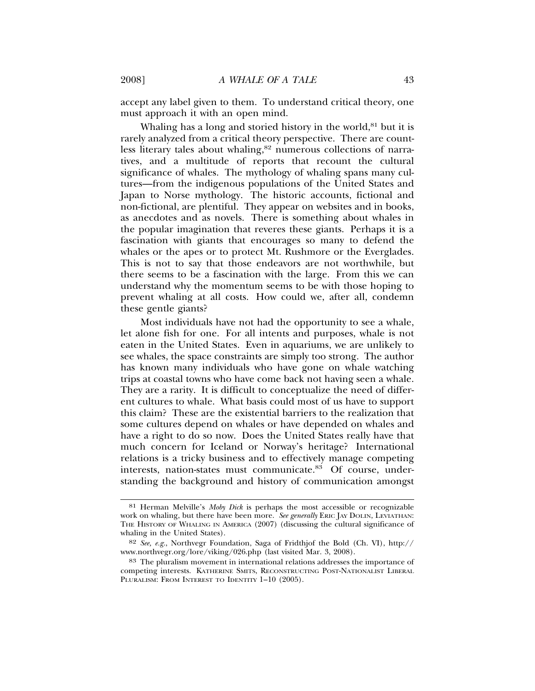accept any label given to them. To understand critical theory, one must approach it with an open mind.

Whaling has a long and storied history in the world, $81$  but it is rarely analyzed from a critical theory perspective. There are countless literary tales about whaling,<sup>82</sup> numerous collections of narratives, and a multitude of reports that recount the cultural significance of whales. The mythology of whaling spans many cultures—from the indigenous populations of the United States and Japan to Norse mythology. The historic accounts, fictional and non-fictional, are plentiful. They appear on websites and in books, as anecdotes and as novels. There is something about whales in the popular imagination that reveres these giants. Perhaps it is a fascination with giants that encourages so many to defend the whales or the apes or to protect Mt. Rushmore or the Everglades. This is not to say that those endeavors are not worthwhile, but there seems to be a fascination with the large. From this we can understand why the momentum seems to be with those hoping to prevent whaling at all costs. How could we, after all, condemn these gentle giants?

Most individuals have not had the opportunity to see a whale, let alone fish for one. For all intents and purposes, whale is not eaten in the United States. Even in aquariums, we are unlikely to see whales, the space constraints are simply too strong. The author has known many individuals who have gone on whale watching trips at coastal towns who have come back not having seen a whale. They are a rarity. It is difficult to conceptualize the need of different cultures to whale. What basis could most of us have to support this claim? These are the existential barriers to the realization that some cultures depend on whales or have depended on whales and have a right to do so now. Does the United States really have that much concern for Iceland or Norway's heritage? International relations is a tricky business and to effectively manage competing interests, nation-states must communicate.<sup>83</sup> Of course, understanding the background and history of communication amongst

<sup>81</sup> Herman Melville's *Moby Dick* is perhaps the most accessible or recognizable work on whaling, but there have been more. *See generally* ERIC JAY DOLIN, LEVIATHAN: THE HISTORY OF WHALING IN AMERICA (2007) (discussing the cultural significance of whaling in the United States).

<sup>82</sup> *See, e.g.*, Northvegr Foundation, Saga of Fridthjof the Bold (Ch. VI), http:// www.northvegr.org/lore/viking/026.php (last visited Mar. 3, 2008).

<sup>83</sup> The pluralism movement in international relations addresses the importance of competing interests. KATHERINE SMITS, RECONSTRUCTING POST-NATIONALIST LIBERAL PLURALISM: FROM INTEREST TO IDENTITY 1-10 (2005).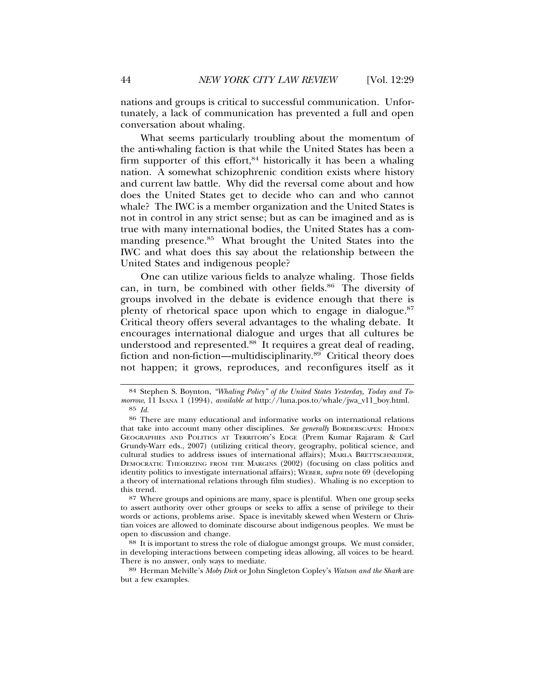nations and groups is critical to successful communication. Unfortunately, a lack of communication has prevented a full and open conversation about whaling.

What seems particularly troubling about the momentum of the anti-whaling faction is that while the United States has been a firm supporter of this effort,  $84$  historically it has been a whaling nation. A somewhat schizophrenic condition exists where history and current law battle. Why did the reversal come about and how does the United States get to decide who can and who cannot whale? The IWC is a member organization and the United States is not in control in any strict sense; but as can be imagined and as is true with many international bodies, the United States has a commanding presence.85 What brought the United States into the IWC and what does this say about the relationship between the United States and indigenous people?

One can utilize various fields to analyze whaling. Those fields can, in turn, be combined with other fields.<sup>86</sup> The diversity of groups involved in the debate is evidence enough that there is plenty of rhetorical space upon which to engage in dialogue.<sup>87</sup> Critical theory offers several advantages to the whaling debate. It encourages international dialogue and urges that all cultures be understood and represented.88 It requires a great deal of reading, fiction and non-fiction—multidisciplinarity.<sup>89</sup> Critical theory does not happen; it grows, reproduces, and reconfigures itself as it

<sup>84</sup> Stephen S. Boynton, *"Whaling Policy" of the United States Yesterday, Today and Tomorrow*, 11 ISANA 1 (1994), *available at* http://luna.pos.to/whale/jwa\_v11\_boy.html. 85 *Id.*

<sup>86</sup> There are many educational and informative works on international relations that take into account many other disciplines. *See generally* BORDERSCAPES: HIDDEN GEOGRAPHIES AND POLITICS AT TERRITORY'S EDGE (Prem Kumar Rajaram & Carl Grundy-Warr eds., 2007) (utilizing critical theory, geography, political science, and cultural studies to address issues of international affairs); MARLA BRETTSCHNEIDER, DEMOCRATIC THEORIZING FROM THE MARGINS (2002) (focusing on class politics and identity politics to investigate international affairs); WEBER, *supra* note 69 (developing a theory of international relations through film studies). Whaling is no exception to this trend.

<sup>87</sup> Where groups and opinions are many, space is plentiful. When one group seeks to assert authority over other groups or seeks to affix a sense of privilege to their words or actions, problems arise. Space is inevitably skewed when Western or Christian voices are allowed to dominate discourse about indigenous peoples. We must be open to discussion and change.

<sup>88</sup> It is important to stress the role of dialogue amongst groups. We must consider, in developing interactions between competing ideas allowing, all voices to be heard. There is no answer, only ways to mediate.

<sup>89</sup> Herman Melville's *Moby Dick* or John Singleton Copley's *Watson and the Shark* are but a few examples.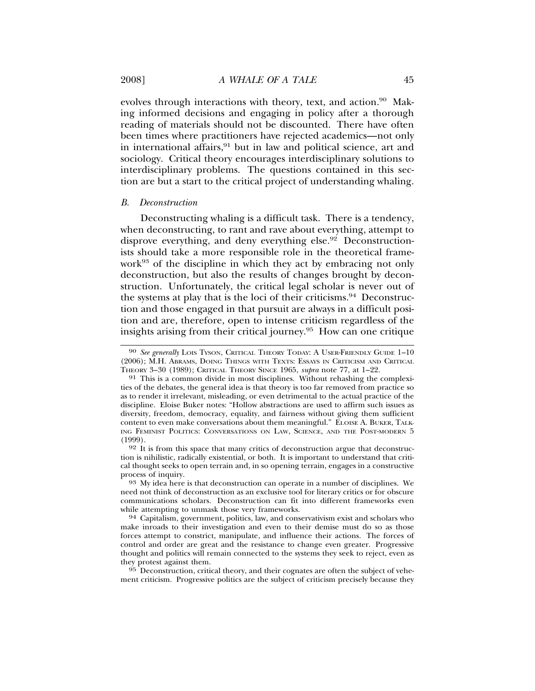evolves through interactions with theory, text, and action.<sup>90</sup> Making informed decisions and engaging in policy after a thorough reading of materials should not be discounted. There have often been times where practitioners have rejected academics—not only in international affairs, $91$  but in law and political science, art and sociology. Critical theory encourages interdisciplinary solutions to interdisciplinary problems. The questions contained in this section are but a start to the critical project of understanding whaling.

#### *B. Deconstruction*

Deconstructing whaling is a difficult task. There is a tendency, when deconstructing, to rant and rave about everything, attempt to disprove everything, and deny everything else.<sup>92</sup> Deconstructionists should take a more responsible role in the theoretical framework<sup>93</sup> of the discipline in which they act by embracing not only deconstruction, but also the results of changes brought by deconstruction. Unfortunately, the critical legal scholar is never out of the systems at play that is the loci of their criticisms.<sup>94</sup> Deconstruction and those engaged in that pursuit are always in a difficult position and are, therefore, open to intense criticism regardless of the insights arising from their critical journey.95 How can one critique

92 It is from this space that many critics of deconstruction argue that deconstruction is nihilistic, radically existential, or both. It is important to understand that critical thought seeks to open terrain and, in so opening terrain, engages in a constructive

93 My idea here is that deconstruction can operate in a number of disciplines. We need not think of deconstruction as an exclusive tool for literary critics or for obscure communications scholars. Deconstruction can fit into different frameworks even

while attempting to unmask those very frameworks.<br><sup>94</sup> Capitalism, government, politics, law, and conservativism exist and scholars who make inroads to their investigation and even to their demise must do so as those forces attempt to constrict, manipulate, and influence their actions. The forces of control and order are great and the resistance to change even greater. Progressive thought and politics will remain connected to the systems they seek to reject, even as they protest against them.

95 Deconstruction, critical theory, and their cognates are often the subject of vehement criticism. Progressive politics are the subject of criticism precisely because they

<sup>90</sup> *See generally* LOIS TYSON, CRITICAL THEORY TODAY: A USER-FRIENDLY GUIDE 1–10 (2006); M.H. ABRAMS, DOING THINGS WITH TEXTS: ESSAYS IN CRITICISM AND CRITICAL THEORY 3–30 (1989); CRITICAL THEORY SINCE 1965, *supra* note 77, at 1–22.

<sup>91</sup> This is a common divide in most disciplines. Without rehashing the complexities of the debates, the general idea is that theory is too far removed from practice so as to render it irrelevant, misleading, or even detrimental to the actual practice of the discipline. Eloise Buker notes: "Hollow abstractions are used to affirm such issues as diversity, freedom, democracy, equality, and fairness without giving them sufficient content to even make conversations about them meaningful." ELOISE A. BUKER, TALK-ING FEMINIST POLITICS: CONVERSATIONS ON LAW, SCIENCE, AND THE POST-MODERN 5 (1999).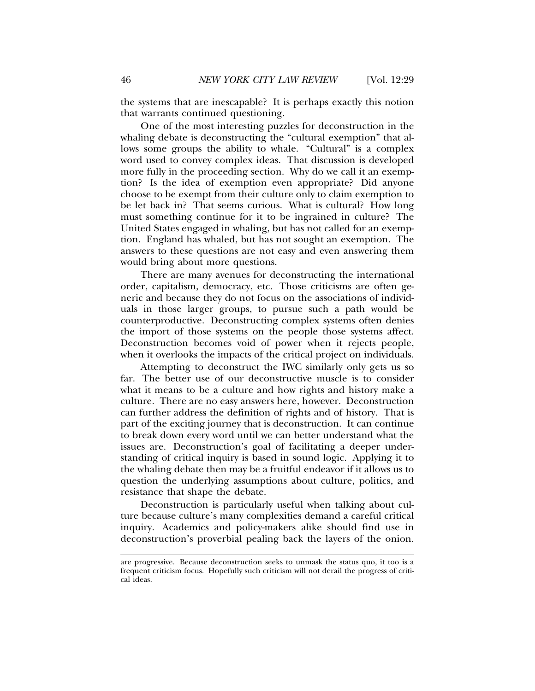the systems that are inescapable? It is perhaps exactly this notion that warrants continued questioning.

One of the most interesting puzzles for deconstruction in the whaling debate is deconstructing the "cultural exemption" that allows some groups the ability to whale. "Cultural" is a complex word used to convey complex ideas. That discussion is developed more fully in the proceeding section. Why do we call it an exemption? Is the idea of exemption even appropriate? Did anyone choose to be exempt from their culture only to claim exemption to be let back in? That seems curious. What is cultural? How long must something continue for it to be ingrained in culture? The United States engaged in whaling, but has not called for an exemption. England has whaled, but has not sought an exemption. The answers to these questions are not easy and even answering them would bring about more questions.

There are many avenues for deconstructing the international order, capitalism, democracy, etc. Those criticisms are often generic and because they do not focus on the associations of individuals in those larger groups, to pursue such a path would be counterproductive. Deconstructing complex systems often denies the import of those systems on the people those systems affect. Deconstruction becomes void of power when it rejects people, when it overlooks the impacts of the critical project on individuals.

Attempting to deconstruct the IWC similarly only gets us so far. The better use of our deconstructive muscle is to consider what it means to be a culture and how rights and history make a culture. There are no easy answers here, however. Deconstruction can further address the definition of rights and of history. That is part of the exciting journey that is deconstruction. It can continue to break down every word until we can better understand what the issues are. Deconstruction's goal of facilitating a deeper understanding of critical inquiry is based in sound logic. Applying it to the whaling debate then may be a fruitful endeavor if it allows us to question the underlying assumptions about culture, politics, and resistance that shape the debate.

Deconstruction is particularly useful when talking about culture because culture's many complexities demand a careful critical inquiry. Academics and policy-makers alike should find use in deconstruction's proverbial pealing back the layers of the onion.

are progressive. Because deconstruction seeks to unmask the status quo, it too is a frequent criticism focus. Hopefully such criticism will not derail the progress of critical ideas.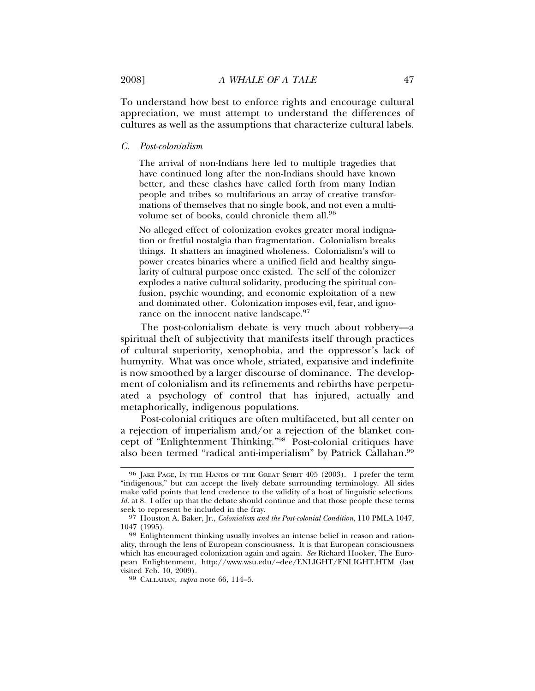To understand how best to enforce rights and encourage cultural appreciation, we must attempt to understand the differences of cultures as well as the assumptions that characterize cultural labels.

*C. Post-colonialism*

The arrival of non-Indians here led to multiple tragedies that have continued long after the non-Indians should have known better, and these clashes have called forth from many Indian people and tribes so multifarious an array of creative transformations of themselves that no single book, and not even a multivolume set of books, could chronicle them all.<sup>96</sup>

No alleged effect of colonization evokes greater moral indignation or fretful nostalgia than fragmentation. Colonialism breaks things. It shatters an imagined wholeness. Colonialism's will to power creates binaries where a unified field and healthy singularity of cultural purpose once existed. The self of the colonizer explodes a native cultural solidarity, producing the spiritual confusion, psychic wounding, and economic exploitation of a new and dominated other. Colonization imposes evil, fear, and ignorance on the innocent native landscape.<sup>97</sup>

The post-colonialism debate is very much about robbery—a spiritual theft of subjectivity that manifests itself through practices of cultural superiority, xenophobia, and the oppressor's lack of humynity. What was once whole, striated, expansive and indefinite is now smoothed by a larger discourse of dominance. The development of colonialism and its refinements and rebirths have perpetuated a psychology of control that has injured, actually and metaphorically, indigenous populations.

Post-colonial critiques are often multifaceted, but all center on a rejection of imperialism and/or a rejection of the blanket concept of "Enlightenment Thinking."98 Post-colonial critiques have also been termed "radical anti-imperialism" by Patrick Callahan.<sup>99</sup>

<sup>96</sup> JAKE PAGE, IN THE HANDS OF THE GREAT SPIRIT 405 (2003). I prefer the term "indigenous," but can accept the lively debate surrounding terminology. All sides make valid points that lend credence to the validity of a host of linguistic selections. *Id.* at 8. I offer up that the debate should continue and that those people these terms seek to represent be included in the fray.

<sup>97</sup> Houston A. Baker, Jr., *Colonialism and the Post-colonial Condition*, 110 PMLA 1047,

<sup>&</sup>lt;sup>98</sup> Enlightenment thinking usually involves an intense belief in reason and rationality, through the lens of European consciousness. It is that European consciousness which has encouraged colonization again and again. *See* Richard Hooker, The European Enlightenment, http://www.wsu.edu/~dee/ENLIGHT/ENLIGHT.HTM (last

<sup>&</sup>lt;sup>99</sup> CALLAHAN, *supra* note 66, 114–5.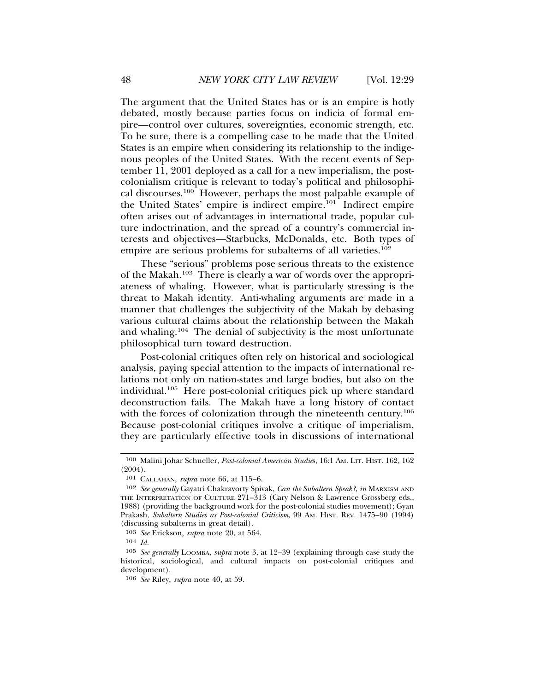The argument that the United States has or is an empire is hotly debated, mostly because parties focus on indicia of formal empire—control over cultures, sovereignties, economic strength, etc. To be sure, there is a compelling case to be made that the United States is an empire when considering its relationship to the indigenous peoples of the United States. With the recent events of September 11, 2001 deployed as a call for a new imperialism, the postcolonialism critique is relevant to today's political and philosophical discourses.100 However, perhaps the most palpable example of the United States' empire is indirect empire.<sup>101</sup> Indirect empire often arises out of advantages in international trade, popular culture indoctrination, and the spread of a country's commercial interests and objectives—Starbucks, McDonalds, etc. Both types of empire are serious problems for subalterns of all varieties.<sup>102</sup>

These "serious" problems pose serious threats to the existence of the Makah.103 There is clearly a war of words over the appropriateness of whaling. However, what is particularly stressing is the threat to Makah identity. Anti-whaling arguments are made in a manner that challenges the subjectivity of the Makah by debasing various cultural claims about the relationship between the Makah and whaling.104 The denial of subjectivity is the most unfortunate philosophical turn toward destruction.

Post-colonial critiques often rely on historical and sociological analysis, paying special attention to the impacts of international relations not only on nation-states and large bodies, but also on the individual.105 Here post-colonial critiques pick up where standard deconstruction fails. The Makah have a long history of contact with the forces of colonization through the nineteenth century.<sup>106</sup> Because post-colonial critiques involve a critique of imperialism, they are particularly effective tools in discussions of international

<sup>100</sup> Malini Johar Schueller, *Post-colonial American Studie*s, 16:1 AM. LIT. HIST. 162, 162 (2004).

<sup>101</sup> CALLAHAN, *supra* note 66, at 115–6.

<sup>102</sup> *See generally* Gayatri Chakravorty Spivak, *Can the Subaltern Speak?*, *in* MARXISM AND THE INTERPRETATION OF CULTURE 271–313 (Cary Nelson & Lawrence Grossberg eds., 1988) (providing the background work for the post-colonial studies movement); Gyan Prakash, *Subaltern Studies as Post-colonial Criticism*, 99 AM. HIST. REV. 1475–90 (1994) (discussing subalterns in great detail).

<sup>103</sup> *See* Erickson, *supra* note 20, at 564.

<sup>104</sup> *Id.*

<sup>105</sup> *See generally* LOOMBA, *supra* note 3, at 12–39 (explaining through case study the historical, sociological, and cultural impacts on post-colonial critiques and development).

<sup>106</sup> *See* Riley, *supra* note 40, at 59.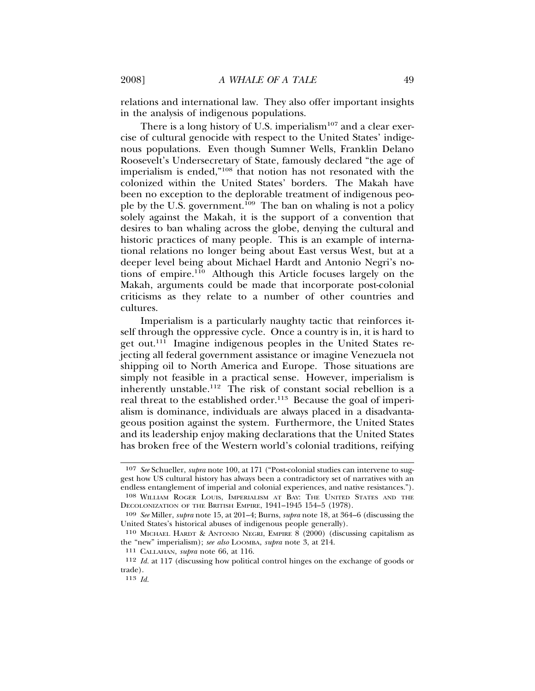relations and international law. They also offer important insights in the analysis of indigenous populations.

There is a long history of U.S. imperialism<sup>107</sup> and a clear exercise of cultural genocide with respect to the United States' indigenous populations. Even though Sumner Wells, Franklin Delano Roosevelt's Undersecretary of State, famously declared "the age of imperialism is ended,"108 that notion has not resonated with the colonized within the United States' borders. The Makah have been no exception to the deplorable treatment of indigenous people by the U.S. government.<sup>109</sup> The ban on whaling is not a policy solely against the Makah, it is the support of a convention that desires to ban whaling across the globe, denying the cultural and historic practices of many people. This is an example of international relations no longer being about East versus West, but at a deeper level being about Michael Hardt and Antonio Negri's notions of empire.110 Although this Article focuses largely on the Makah, arguments could be made that incorporate post-colonial criticisms as they relate to a number of other countries and cultures.

Imperialism is a particularly naughty tactic that reinforces itself through the oppressive cycle. Once a country is in, it is hard to get out.111 Imagine indigenous peoples in the United States rejecting all federal government assistance or imagine Venezuela not shipping oil to North America and Europe. Those situations are simply not feasible in a practical sense. However, imperialism is inherently unstable.112 The risk of constant social rebellion is a real threat to the established order.<sup>113</sup> Because the goal of imperialism is dominance, individuals are always placed in a disadvantageous position against the system. Furthermore, the United States and its leadership enjoy making declarations that the United States has broken free of the Western world's colonial traditions, reifying

<sup>107</sup> *See* Schueller, *supra* note 100, at 171 ("Post-colonial studies can intervene to suggest how US cultural history has always been a contradictory set of narratives with an endless entanglement of imperial and colonial experiences, and native resistances.").

<sup>108</sup> WILLIAM ROGER LOUIS, IMPERIALISM AT BAY: THE UNITED STATES AND THE DECOLONIZATION OF THE BRITISH EMPIRE, 1941–1945 154–5 (1978).

<sup>109</sup> *See* Miller, *supra* note 15, at 201–4; Burns, *supra* note 18, at 364–6 (discussing the United States's historical abuses of indigenous people generally).

<sup>110</sup> MICHAEL HARDT & ANTONIO NEGRI, EMPIRE 8 (2000) (discussing capitalism as the "new" imperialism); *see also* LOOMBA, *supra* note 3, at 214.

<sup>111</sup> CALLAHAN, *supra* note 66, at 116.

<sup>112</sup> *Id.* at 117 (discussing how political control hinges on the exchange of goods or trade).

<sup>113</sup> *Id.*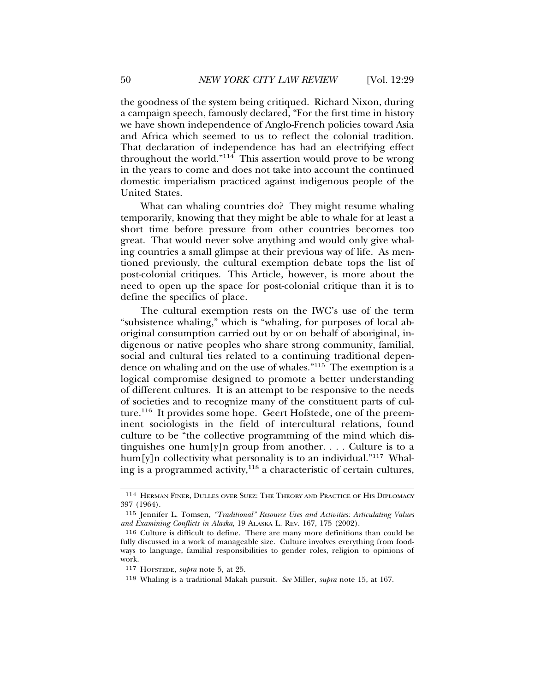the goodness of the system being critiqued. Richard Nixon, during a campaign speech, famously declared, "For the first time in history we have shown independence of Anglo-French policies toward Asia and Africa which seemed to us to reflect the colonial tradition. That declaration of independence has had an electrifying effect throughout the world." $114$  This assertion would prove to be wrong in the years to come and does not take into account the continued domestic imperialism practiced against indigenous people of the United States.

What can whaling countries do? They might resume whaling temporarily, knowing that they might be able to whale for at least a short time before pressure from other countries becomes too great. That would never solve anything and would only give whaling countries a small glimpse at their previous way of life. As mentioned previously, the cultural exemption debate tops the list of post-colonial critiques. This Article, however, is more about the need to open up the space for post-colonial critique than it is to define the specifics of place.

The cultural exemption rests on the IWC's use of the term "subsistence whaling," which is "whaling, for purposes of local aboriginal consumption carried out by or on behalf of aboriginal, indigenous or native peoples who share strong community, familial, social and cultural ties related to a continuing traditional dependence on whaling and on the use of whales."115 The exemption is a logical compromise designed to promote a better understanding of different cultures. It is an attempt to be responsive to the needs of societies and to recognize many of the constituent parts of culture.<sup>116</sup> It provides some hope. Geert Hofstede, one of the preeminent sociologists in the field of intercultural relations, found culture to be "the collective programming of the mind which distinguishes one hum[y]n group from another. . . . Culture is to a hum[y]n collectivity what personality is to an individual."<sup>117</sup> Whaling is a programmed activity,  $118$  a characteristic of certain cultures,

<sup>114</sup> HERMAN FINER, DULLES OVER SUEZ: THE THEORY AND PRACTICE OF HIS DIPLOMACY 397 (1964).

<sup>115</sup> Jennifer L. Tomsen, *"Traditional" Resource Uses and Activities: Articulating Values and Examining Conflicts in Alaska*, 19 ALASKA L. REV. 167, 175 (2002).

<sup>116</sup> Culture is difficult to define. There are many more definitions than could be fully discussed in a work of manageable size. Culture involves everything from foodways to language, familial responsibilities to gender roles, religion to opinions of work.

<sup>117</sup> HOFSTEDE, *supra* note 5, at 25.

<sup>118</sup> Whaling is a traditional Makah pursuit. *See* Miller, *supra* note 15, at 167.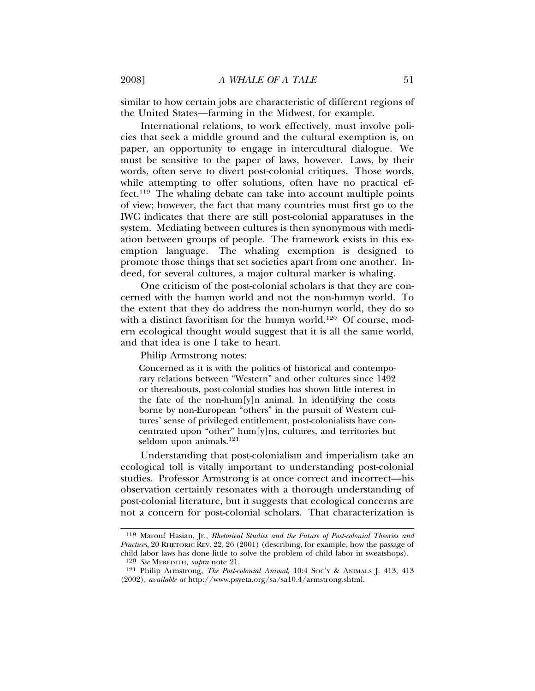similar to how certain jobs are characteristic of different regions of the United States—farming in the Midwest, for example.

International relations, to work effectively, must involve policies that seek a middle ground and the cultural exemption is, on paper, an opportunity to engage in intercultural dialogue. We must be sensitive to the paper of laws, however. Laws, by their words, often serve to divert post-colonial critiques. Those words, while attempting to offer solutions, often have no practical effect.119 The whaling debate can take into account multiple points of view; however, the fact that many countries must first go to the IWC indicates that there are still post-colonial apparatuses in the system. Mediating between cultures is then synonymous with mediation between groups of people. The framework exists in this exemption language. The whaling exemption is designed to promote those things that set societies apart from one another. Indeed, for several cultures, a major cultural marker is whaling.

One criticism of the post-colonial scholars is that they are concerned with the humyn world and not the non-humyn world. To the extent that they do address the non-humyn world, they do so with a distinct favoritism for the humyn world.<sup>120</sup> Of course, modern ecological thought would suggest that it is all the same world, and that idea is one I take to heart.

Philip Armstrong notes:

Concerned as it is with the politics of historical and contemporary relations between "Western" and other cultures since 1492 or thereabouts, post-colonial studies has shown little interest in the fate of the non-hum[y]n animal. In identifying the costs borne by non-European "others" in the pursuit of Western cultures' sense of privileged entitlement, post-colonialists have concentrated upon "other" hum[y]ns, cultures, and territories but seldom upon animals.<sup>121</sup>

Understanding that post-colonialism and imperialism take an ecological toll is vitally important to understanding post-colonial studies. Professor Armstrong is at once correct and incorrect—his observation certainly resonates with a thorough understanding of post-colonial literature, but it suggests that ecological concerns are not a concern for post-colonial scholars. That characterization is

<sup>119</sup> Marouf Hasian, Jr., *Rhetorical Studies and the Future of Post-colonial Theories and Practices*, 20 RHETORIC REV. 22, 26 (2001) (describing, for example, how the passage of child labor laws has done little to solve the problem of child labor in sweatshops).

<sup>120</sup> *See* MEREDITH, *supra* note 21.

<sup>121</sup> Philip Armstrong, *The Post-colonial Animal*, 10:4 SOC'Y & ANIMALS J. 413, 413 (2002), *available at* http://www.psyeta.org/sa/sa10.4/armstrong.shtml.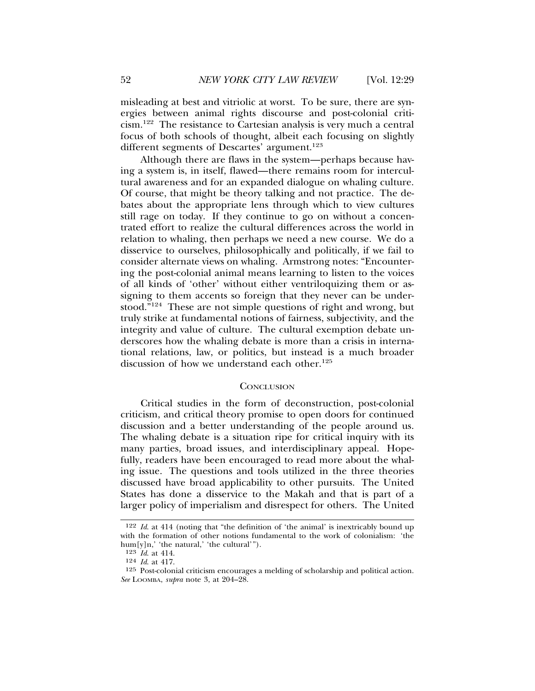misleading at best and vitriolic at worst. To be sure, there are synergies between animal rights discourse and post-colonial criticism.122 The resistance to Cartesian analysis is very much a central focus of both schools of thought, albeit each focusing on slightly different segments of Descartes' argument.<sup>123</sup>

Although there are flaws in the system—perhaps because having a system is, in itself, flawed—there remains room for intercultural awareness and for an expanded dialogue on whaling culture. Of course, that might be theory talking and not practice. The debates about the appropriate lens through which to view cultures still rage on today. If they continue to go on without a concentrated effort to realize the cultural differences across the world in relation to whaling, then perhaps we need a new course. We do a disservice to ourselves, philosophically and politically, if we fail to consider alternate views on whaling. Armstrong notes: "Encountering the post-colonial animal means learning to listen to the voices of all kinds of 'other' without either ventriloquizing them or assigning to them accents so foreign that they never can be understood."124 These are not simple questions of right and wrong, but truly strike at fundamental notions of fairness, subjectivity, and the integrity and value of culture. The cultural exemption debate underscores how the whaling debate is more than a crisis in international relations, law, or politics, but instead is a much broader discussion of how we understand each other.<sup>125</sup>

#### **CONCLUSION**

Critical studies in the form of deconstruction, post-colonial criticism, and critical theory promise to open doors for continued discussion and a better understanding of the people around us. The whaling debate is a situation ripe for critical inquiry with its many parties, broad issues, and interdisciplinary appeal. Hopefully, readers have been encouraged to read more about the whaling issue. The questions and tools utilized in the three theories discussed have broad applicability to other pursuits. The United States has done a disservice to the Makah and that is part of a larger policy of imperialism and disrespect for others. The United

<sup>122</sup> *Id*. at 414 (noting that "the definition of 'the animal' is inextricably bound up with the formation of other notions fundamental to the work of colonialism: 'the hum[y]n,' 'the natural,' 'the cultural'").

<sup>123</sup> *Id*. at 414.

<sup>124</sup> *Id*. at 417.

<sup>125</sup> Post-colonial criticism encourages a melding of scholarship and political action. *See* LOOMBA, *supra* note 3, at 204–28.